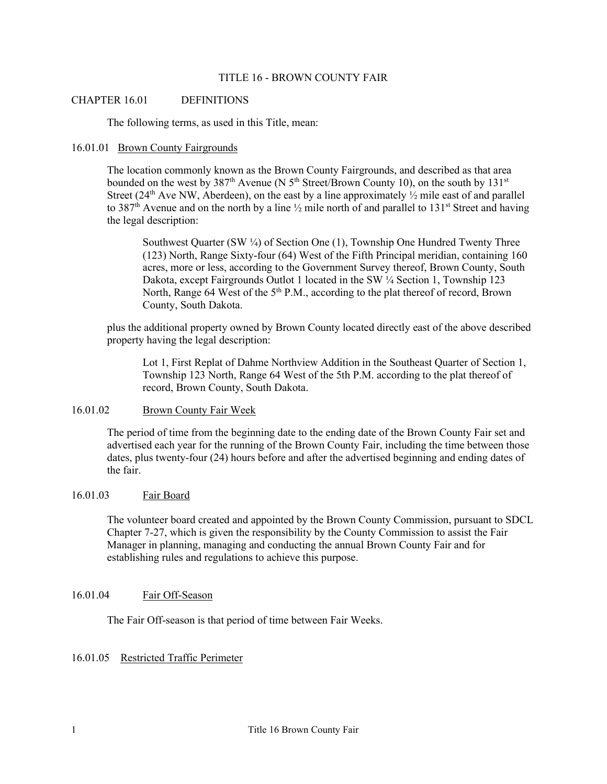#### TITLE 16 - BROWN COUNTY FAIR

### CHAPTER 16.01 DEFINITIONS

The following terms, as used in this Title, mean:

#### 16.01.01 Brown County Fairgrounds

The location commonly known as the Brown County Fairgrounds, and described as that area bounded on the west by 387<sup>th</sup> Avenue (N 5<sup>th</sup> Street/Brown County 10), on the south by 131<sup>st</sup> Street ( $24<sup>th</sup>$  Ave NW, Aberdeen), on the east by a line approximately  $\frac{1}{2}$  mile east of and parallel to 387<sup>th</sup> Avenue and on the north by a line  $\frac{1}{2}$  mile north of and parallel to 131<sup>st</sup> Street and having the legal description:

Southwest Quarter (SW  $\frac{1}{4}$ ) of Section One (1), Township One Hundred Twenty Three (123) North, Range Sixty-four (64) West of the Fifth Principal meridian, containing 160 acres, more or less, according to the Government Survey thereof, Brown County, South Dakota, except Fairgrounds Outlot 1 located in the SW ¼ Section 1, Township 123 North, Range 64 West of the 5<sup>th</sup> P.M., according to the plat thereof of record, Brown County, South Dakota.

plus the additional property owned by Brown County located directly east of the above described property having the legal description:

Lot 1, First Replat of Dahme Northview Addition in the Southeast Quarter of Section 1, Township 123 North, Range 64 West of the 5th P.M. according to the plat thereof of record, Brown County, South Dakota.

#### 16.01.02 Brown County Fair Week

The period of time from the beginning date to the ending date of the Brown County Fair set and advertised each year for the running of the Brown County Fair, including the time between those dates, plus twenty-four (24) hours before and after the advertised beginning and ending dates of the fair.

# 16.01.03 Fair Board

The volunteer board created and appointed by the Brown County Commission, pursuant to SDCL Chapter 7-27, which is given the responsibility by the County Commission to assist the Fair Manager in planning, managing and conducting the annual Brown County Fair and for establishing rules and regulations to achieve this purpose.

# 16.01.04 Fair Off-Season

The Fair Off-season is that period of time between Fair Weeks.

# 16.01.05 Restricted Traffic Perimeter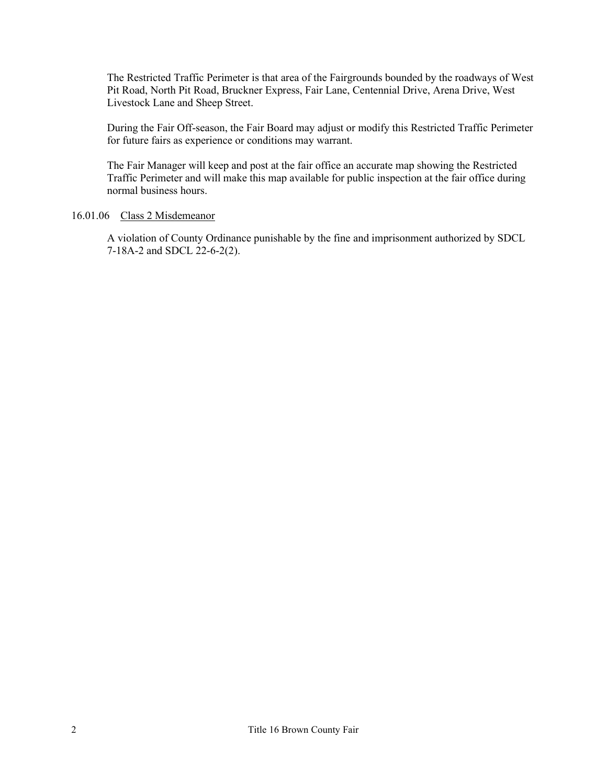The Restricted Traffic Perimeter is that area of the Fairgrounds bounded by the roadways of West Pit Road, North Pit Road, Bruckner Express, Fair Lane, Centennial Drive, Arena Drive, West Livestock Lane and Sheep Street.

During the Fair Off-season, the Fair Board may adjust or modify this Restricted Traffic Perimeter for future fairs as experience or conditions may warrant.

The Fair Manager will keep and post at the fair office an accurate map showing the Restricted Traffic Perimeter and will make this map available for public inspection at the fair office during normal business hours.

### 16.01.06 Class 2 Misdemeanor

A violation of County Ordinance punishable by the fine and imprisonment authorized by SDCL 7-18A-2 and SDCL 22-6-2(2).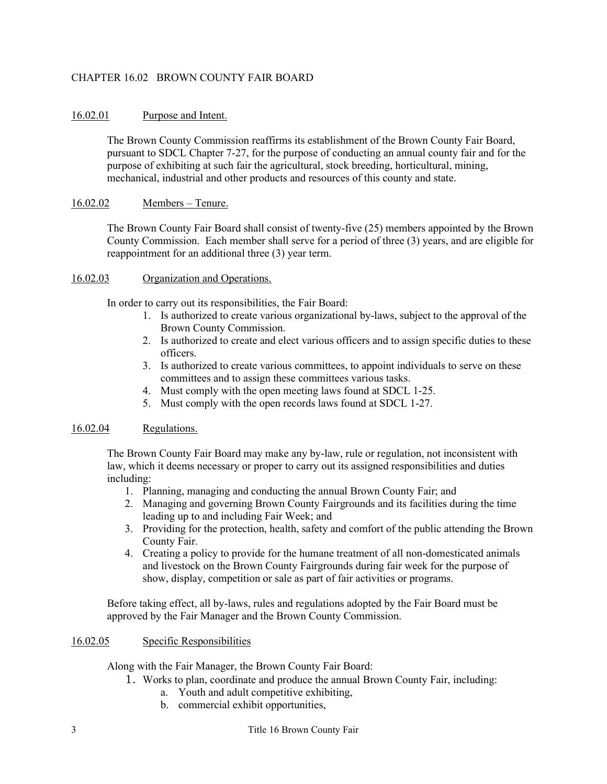# CHAPTER 16.02 BROWN COUNTY FAIR BOARD

# 16.02.01 Purpose and Intent.

The Brown County Commission reaffirms its establishment of the Brown County Fair Board, pursuant to SDCL Chapter 7-27, for the purpose of conducting an annual county fair and for the purpose of exhibiting at such fair the agricultural, stock breeding, horticultural, mining, mechanical, industrial and other products and resources of this county and state.

# 16.02.02 Members – Tenure.

The Brown County Fair Board shall consist of twenty-five (25) members appointed by the Brown County Commission. Each member shall serve for a period of three (3) years, and are eligible for reappointment for an additional three (3) year term.

#### 16.02.03 Organization and Operations.

In order to carry out its responsibilities, the Fair Board:

- 1. Is authorized to create various organizational by-laws, subject to the approval of the Brown County Commission.
- 2. Is authorized to create and elect various officers and to assign specific duties to these officers.
- 3. Is authorized to create various committees, to appoint individuals to serve on these committees and to assign these committees various tasks.
- 4. Must comply with the open meeting laws found at SDCL 1-25.
- 5. Must comply with the open records laws found at SDCL 1-27.

# 16.02.04 Regulations.

The Brown County Fair Board may make any by-law, rule or regulation, not inconsistent with law, which it deems necessary or proper to carry out its assigned responsibilities and duties including:

- 1. Planning, managing and conducting the annual Brown County Fair; and
- 2. Managing and governing Brown County Fairgrounds and its facilities during the time leading up to and including Fair Week; and
- 3. Providing for the protection, health, safety and comfort of the public attending the Brown County Fair.
- 4. Creating a policy to provide for the humane treatment of all non-domesticated animals and livestock on the Brown County Fairgrounds during fair week for the purpose of show, display, competition or sale as part of fair activities or programs.

Before taking effect, all by-laws, rules and regulations adopted by the Fair Board must be approved by the Fair Manager and the Brown County Commission.

# 16.02.05 Specific Responsibilities

Along with the Fair Manager, the Brown County Fair Board:

- 1. Works to plan, coordinate and produce the annual Brown County Fair, including:
	- a. Youth and adult competitive exhibiting,
	- b. commercial exhibit opportunities,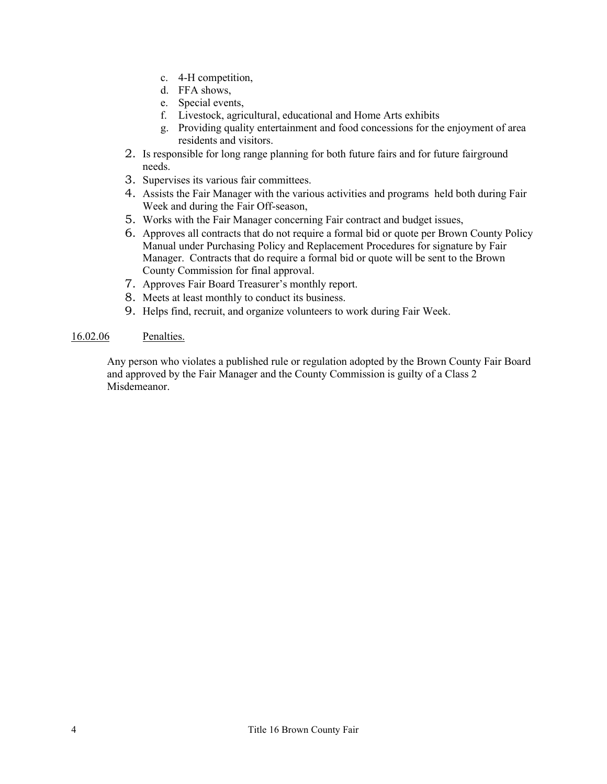- c. 4-H competition,
- d. FFA shows,
- e. Special events,
- f. Livestock, agricultural, educational and Home Arts exhibits
- g. Providing quality entertainment and food concessions for the enjoyment of area residents and visitors.
- 2. Is responsible for long range planning for both future fairs and for future fairground needs.
- 3. Supervises its various fair committees.
- 4. Assists the Fair Manager with the various activities and programs held both during Fair Week and during the Fair Off-season,
- 5. Works with the Fair Manager concerning Fair contract and budget issues,
- 6. Approves all contracts that do not require a formal bid or quote per Brown County Policy Manual under Purchasing Policy and Replacement Procedures for signature by Fair Manager. Contracts that do require a formal bid or quote will be sent to the Brown County Commission for final approval.
- 7. Approves Fair Board Treasurer's monthly report.
- 8. Meets at least monthly to conduct its business.
- 9. Helps find, recruit, and organize volunteers to work during Fair Week.

#### 16.02.06 Penalties.

Any person who violates a published rule or regulation adopted by the Brown County Fair Board and approved by the Fair Manager and the County Commission is guilty of a Class 2 Misdemeanor.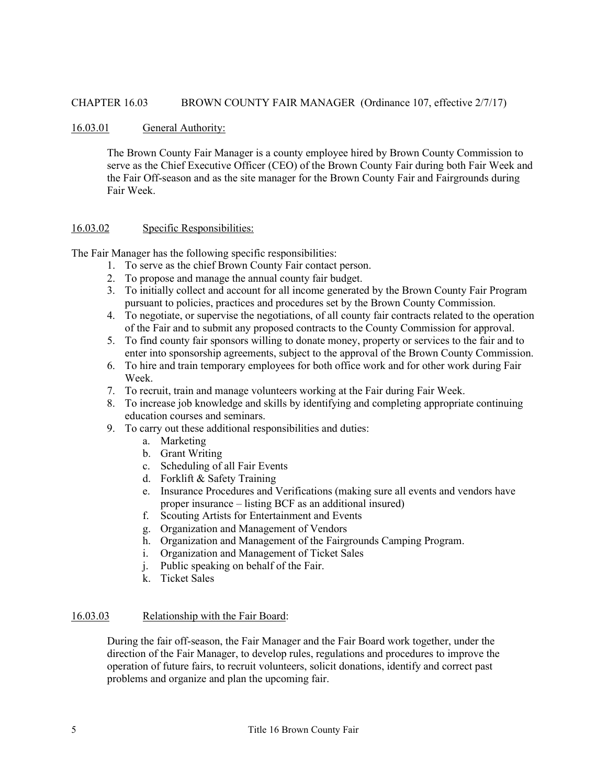### CHAPTER 16.03 BROWN COUNTY FAIR MANAGER (Ordinance 107, effective 2/7/17)

#### 16.03.01 General Authority:

The Brown County Fair Manager is a county employee hired by Brown County Commission to serve as the Chief Executive Officer (CEO) of the Brown County Fair during both Fair Week and the Fair Off-season and as the site manager for the Brown County Fair and Fairgrounds during Fair Week.

#### 16.03.02 Specific Responsibilities:

The Fair Manager has the following specific responsibilities:

- 1. To serve as the chief Brown County Fair contact person.
- 2. To propose and manage the annual county fair budget.
- 3. To initially collect and account for all income generated by the Brown County Fair Program pursuant to policies, practices and procedures set by the Brown County Commission.
- 4. To negotiate, or supervise the negotiations, of all county fair contracts related to the operation of the Fair and to submit any proposed contracts to the County Commission for approval.
- 5. To find county fair sponsors willing to donate money, property or services to the fair and to enter into sponsorship agreements, subject to the approval of the Brown County Commission.
- 6. To hire and train temporary employees for both office work and for other work during Fair Week.
- 7. To recruit, train and manage volunteers working at the Fair during Fair Week.
- 8. To increase job knowledge and skills by identifying and completing appropriate continuing education courses and seminars.
- 9. To carry out these additional responsibilities and duties:
	- a. Marketing
	- b. Grant Writing
	- c. Scheduling of all Fair Events
	- d. Forklift & Safety Training
	- e. Insurance Procedures and Verifications (making sure all events and vendors have proper insurance – listing BCF as an additional insured)
	- f. Scouting Artists for Entertainment and Events
	- g. Organization and Management of Vendors
	- h. Organization and Management of the Fairgrounds Camping Program.
	- i. Organization and Management of Ticket Sales
	- j. Public speaking on behalf of the Fair.
	- k. Ticket Sales

#### 16.03.03 Relationship with the Fair Board:

During the fair off-season, the Fair Manager and the Fair Board work together, under the direction of the Fair Manager, to develop rules, regulations and procedures to improve the operation of future fairs, to recruit volunteers, solicit donations, identify and correct past problems and organize and plan the upcoming fair.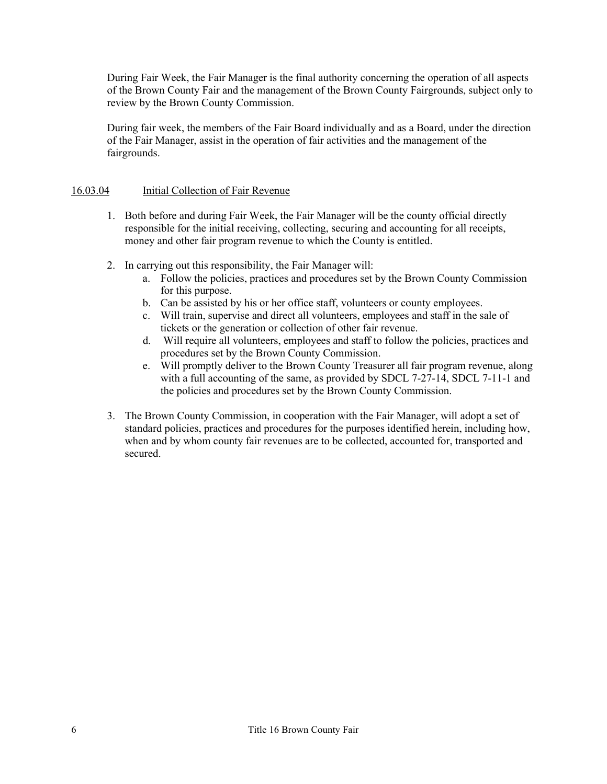During Fair Week, the Fair Manager is the final authority concerning the operation of all aspects of the Brown County Fair and the management of the Brown County Fairgrounds, subject only to review by the Brown County Commission.

During fair week, the members of the Fair Board individually and as a Board, under the direction of the Fair Manager, assist in the operation of fair activities and the management of the fairgrounds.

# 16.03.04 Initial Collection of Fair Revenue

- 1. Both before and during Fair Week, the Fair Manager will be the county official directly responsible for the initial receiving, collecting, securing and accounting for all receipts, money and other fair program revenue to which the County is entitled.
- 2. In carrying out this responsibility, the Fair Manager will:
	- a. Follow the policies, practices and procedures set by the Brown County Commission for this purpose.
	- b. Can be assisted by his or her office staff, volunteers or county employees.
	- c. Will train, supervise and direct all volunteers, employees and staff in the sale of tickets or the generation or collection of other fair revenue.
	- d. Will require all volunteers, employees and staff to follow the policies, practices and procedures set by the Brown County Commission.
	- e. Will promptly deliver to the Brown County Treasurer all fair program revenue, along with a full accounting of the same, as provided by SDCL 7-27-14, SDCL 7-11-1 and the policies and procedures set by the Brown County Commission.
- 3. The Brown County Commission, in cooperation with the Fair Manager, will adopt a set of standard policies, practices and procedures for the purposes identified herein, including how, when and by whom county fair revenues are to be collected, accounted for, transported and secured.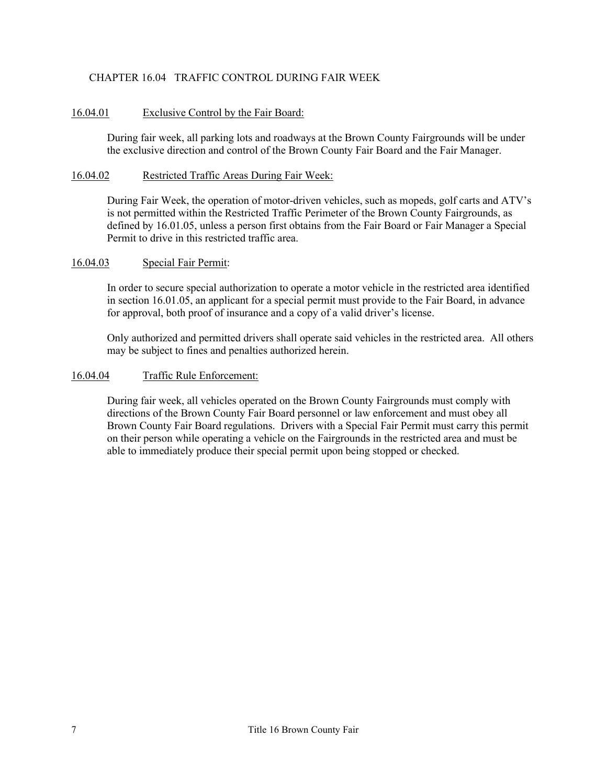# CHAPTER 16.04 TRAFFIC CONTROL DURING FAIR WEEK

# 16.04.01 Exclusive Control by the Fair Board:

During fair week, all parking lots and roadways at the Brown County Fairgrounds will be under the exclusive direction and control of the Brown County Fair Board and the Fair Manager.

### 16.04.02 Restricted Traffic Areas During Fair Week:

During Fair Week, the operation of motor-driven vehicles, such as mopeds, golf carts and ATV's is not permitted within the Restricted Traffic Perimeter of the Brown County Fairgrounds, as defined by 16.01.05, unless a person first obtains from the Fair Board or Fair Manager a Special Permit to drive in this restricted traffic area.

### 16.04.03 Special Fair Permit:

In order to secure special authorization to operate a motor vehicle in the restricted area identified in section 16.01.05, an applicant for a special permit must provide to the Fair Board, in advance for approval, both proof of insurance and a copy of a valid driver's license.

Only authorized and permitted drivers shall operate said vehicles in the restricted area. All others may be subject to fines and penalties authorized herein.

#### 16.04.04 Traffic Rule Enforcement:

During fair week, all vehicles operated on the Brown County Fairgrounds must comply with directions of the Brown County Fair Board personnel or law enforcement and must obey all Brown County Fair Board regulations. Drivers with a Special Fair Permit must carry this permit on their person while operating a vehicle on the Fairgrounds in the restricted area and must be able to immediately produce their special permit upon being stopped or checked.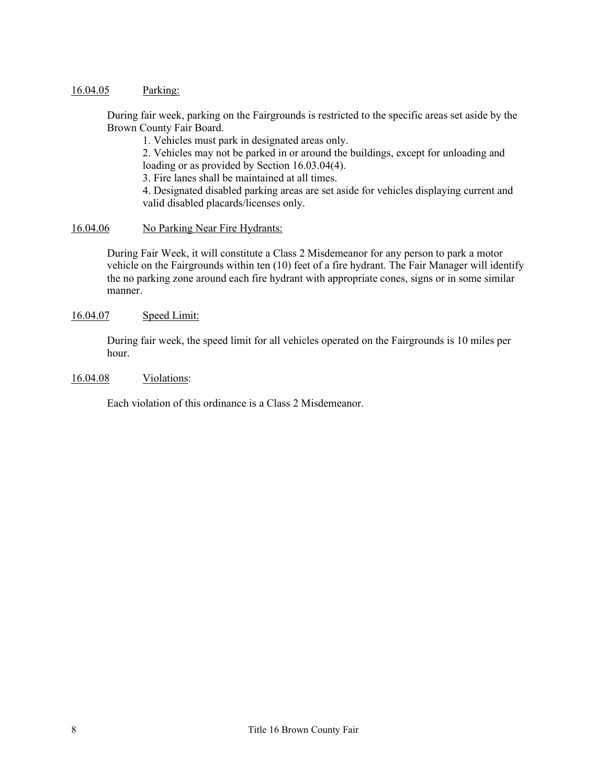### 16.04.05 Parking:

During fair week, parking on the Fairgrounds is restricted to the specific areas set aside by the Brown County Fair Board.

1. Vehicles must park in designated areas only.

2. Vehicles may not be parked in or around the buildings, except for unloading and loading or as provided by Section 16.03.04(4).

3. Fire lanes shall be maintained at all times.

4. Designated disabled parking areas are set aside for vehicles displaying current and valid disabled placards/licenses only.

### 16.04.06 No Parking Near Fire Hydrants:

During Fair Week, it will constitute a Class 2 Misdemeanor for any person to park a motor vehicle on the Fairgrounds within ten (10) feet of a fire hydrant. The Fair Manager will identify the no parking zone around each fire hydrant with appropriate cones, signs or in some similar manner.

## 16.04.07 Speed Limit:

During fair week, the speed limit for all vehicles operated on the Fairgrounds is 10 miles per hour.

#### 16.04.08 Violations:

Each violation of this ordinance is a Class 2 Misdemeanor.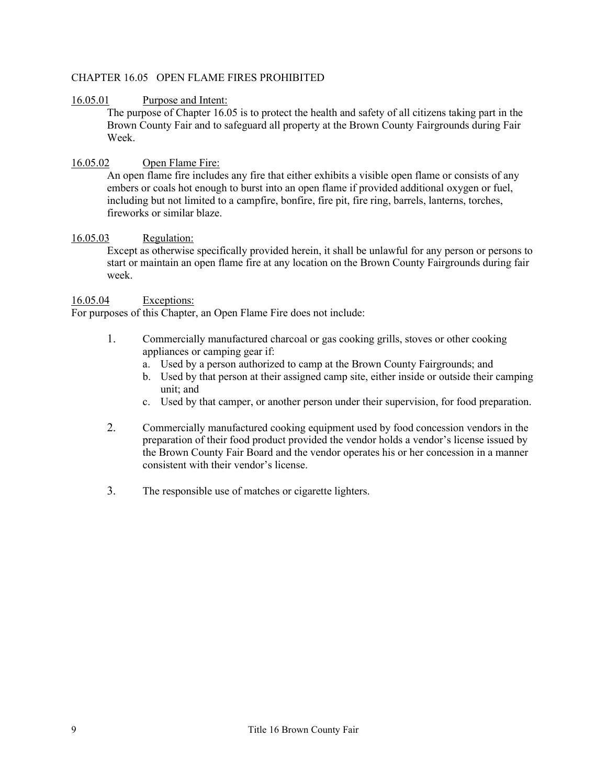# CHAPTER 16.05 OPEN FLAME FIRES PROHIBITED

# 16.05.01 Purpose and Intent:

The purpose of Chapter 16.05 is to protect the health and safety of all citizens taking part in the Brown County Fair and to safeguard all property at the Brown County Fairgrounds during Fair Week.

# 16.05.02 Open Flame Fire:

An open flame fire includes any fire that either exhibits a visible open flame or consists of any embers or coals hot enough to burst into an open flame if provided additional oxygen or fuel, including but not limited to a campfire, bonfire, fire pit, fire ring, barrels, lanterns, torches, fireworks or similar blaze.

# 16.05.03 Regulation:

Except as otherwise specifically provided herein, it shall be unlawful for any person or persons to start or maintain an open flame fire at any location on the Brown County Fairgrounds during fair week.

# 16.05.04 Exceptions:

For purposes of this Chapter, an Open Flame Fire does not include:

- 1. Commercially manufactured charcoal or gas cooking grills, stoves or other cooking appliances or camping gear if:
	- a. Used by a person authorized to camp at the Brown County Fairgrounds; and
	- b. Used by that person at their assigned camp site, either inside or outside their camping unit; and
	- c. Used by that camper, or another person under their supervision, for food preparation.
- 2. Commercially manufactured cooking equipment used by food concession vendors in the preparation of their food product provided the vendor holds a vendor's license issued by the Brown County Fair Board and the vendor operates his or her concession in a manner consistent with their vendor's license.
- 3. The responsible use of matches or cigarette lighters.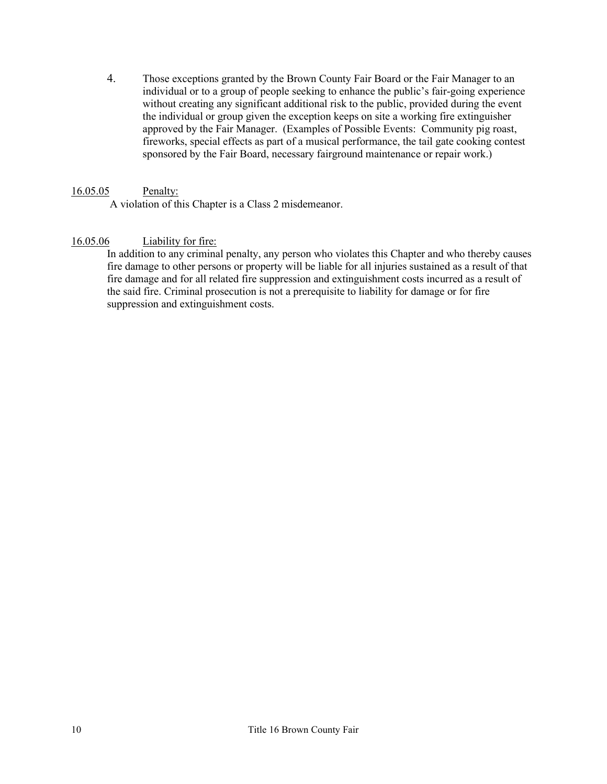4. Those exceptions granted by the Brown County Fair Board or the Fair Manager to an individual or to a group of people seeking to enhance the public's fair-going experience without creating any significant additional risk to the public, provided during the event the individual or group given the exception keeps on site a working fire extinguisher approved by the Fair Manager. (Examples of Possible Events: Community pig roast, fireworks, special effects as part of a musical performance, the tail gate cooking contest sponsored by the Fair Board, necessary fairground maintenance or repair work.)

# 16.05.05 Penalty:

A violation of this Chapter is a Class 2 misdemeanor.

# 16.05.06 Liability for fire:

In addition to any criminal penalty, any person who violates this Chapter and who thereby causes fire damage to other persons or property will be liable for all injuries sustained as a result of that fire damage and for all related fire suppression and extinguishment costs incurred as a result of the said fire. Criminal prosecution is not a prerequisite to liability for damage or for fire suppression and extinguishment costs.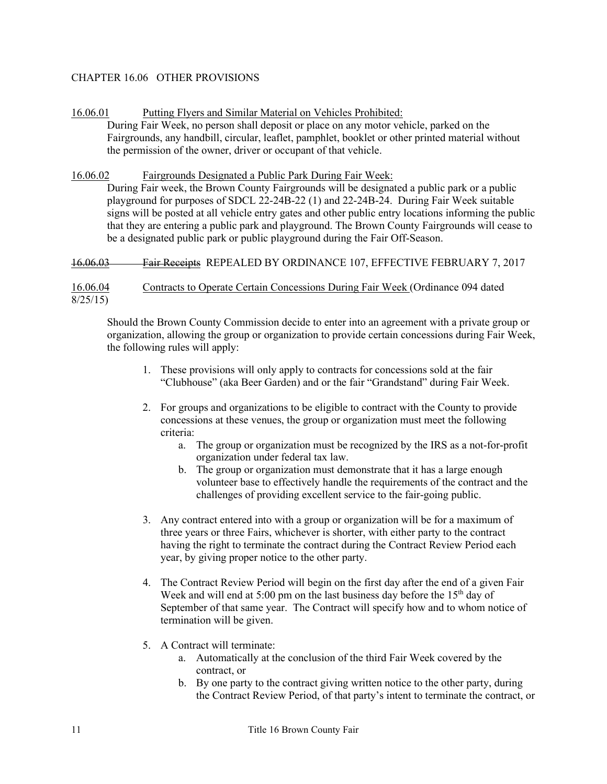# CHAPTER 16.06 OTHER PROVISIONS

# 16.06.01 Putting Flyers and Similar Material on Vehicles Prohibited:

During Fair Week, no person shall deposit or place on any motor vehicle, parked on the Fairgrounds, any handbill, circular, leaflet, pamphlet, booklet or other printed material without the permission of the owner, driver or occupant of that vehicle.

### 16.06.02 Fairgrounds Designated a Public Park During Fair Week:

During Fair week, the Brown County Fairgrounds will be designated a public park or a public playground for purposes of SDCL 22-24B-22 (1) and 22-24B-24. During Fair Week suitable signs will be posted at all vehicle entry gates and other public entry locations informing the public that they are entering a public park and playground. The Brown County Fairgrounds will cease to be a designated public park or public playground during the Fair Off-Season.

### 16.06.03 Fair Receipts REPEALED BY ORDINANCE 107, EFFECTIVE FEBRUARY 7, 2017

16.06.04 Contracts to Operate Certain Concessions During Fair Week (Ordinance 094 dated 8/25/15)

Should the Brown County Commission decide to enter into an agreement with a private group or organization, allowing the group or organization to provide certain concessions during Fair Week, the following rules will apply:

- 1. These provisions will only apply to contracts for concessions sold at the fair "Clubhouse" (aka Beer Garden) and or the fair "Grandstand" during Fair Week.
- 2. For groups and organizations to be eligible to contract with the County to provide concessions at these venues, the group or organization must meet the following criteria:
	- a. The group or organization must be recognized by the IRS as a not-for-profit organization under federal tax law.
	- b. The group or organization must demonstrate that it has a large enough volunteer base to effectively handle the requirements of the contract and the challenges of providing excellent service to the fair-going public.
- 3. Any contract entered into with a group or organization will be for a maximum of three years or three Fairs, whichever is shorter, with either party to the contract having the right to terminate the contract during the Contract Review Period each year, by giving proper notice to the other party.
- 4. The Contract Review Period will begin on the first day after the end of a given Fair Week and will end at  $5:00$  pm on the last business day before the  $15<sup>th</sup>$  day of September of that same year. The Contract will specify how and to whom notice of termination will be given.
- 5. A Contract will terminate:
	- a. Automatically at the conclusion of the third Fair Week covered by the contract, or
	- b. By one party to the contract giving written notice to the other party, during the Contract Review Period, of that party's intent to terminate the contract, or